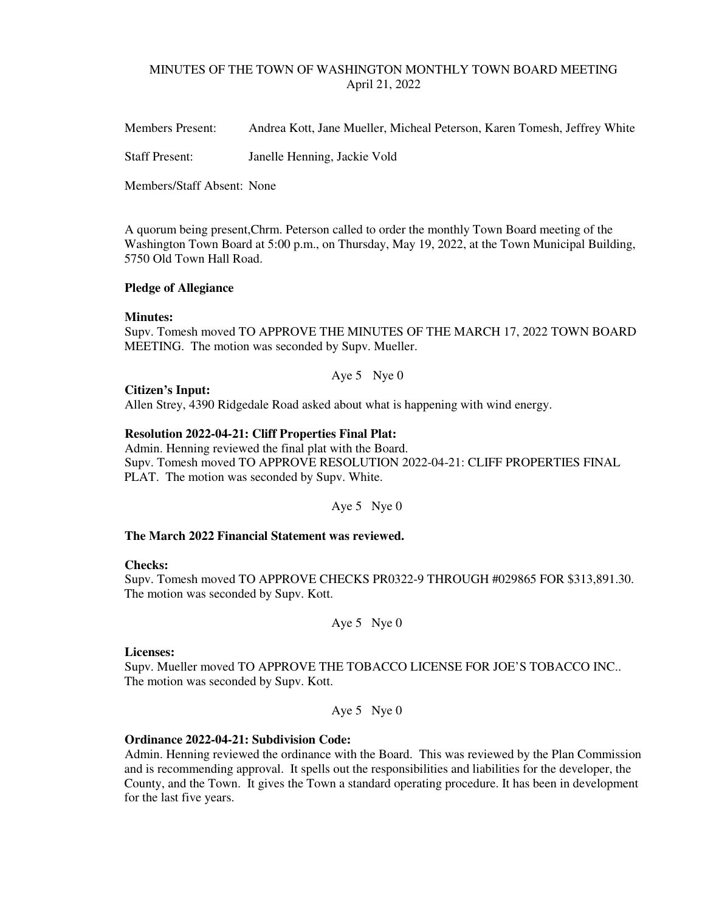# MINUTES OF THE TOWN OF WASHINGTON MONTHLY TOWN BOARD MEETING April 21, 2022

Members Present: Andrea Kott, Jane Mueller, Micheal Peterson, Karen Tomesh, Jeffrey White

Staff Present: Janelle Henning, Jackie Vold

Members/Staff Absent: None

A quorum being present,Chrm. Peterson called to order the monthly Town Board meeting of the Washington Town Board at 5:00 p.m., on Thursday, May 19, 2022, at the Town Municipal Building, 5750 Old Town Hall Road.

## **Pledge of Allegiance**

## **Minutes:**

Supv. Tomesh moved TO APPROVE THE MINUTES OF THE MARCH 17, 2022 TOWN BOARD MEETING. The motion was seconded by Supv. Mueller.

Aye 5 Nye 0

### **Citizen's Input:**

Allen Strey, 4390 Ridgedale Road asked about what is happening with wind energy.

## **Resolution 2022-04-21: Cliff Properties Final Plat:**

Admin. Henning reviewed the final plat with the Board. Supv. Tomesh moved TO APPROVE RESOLUTION 2022-04-21: CLIFF PROPERTIES FINAL PLAT. The motion was seconded by Supv. White.

Aye 5 Nye 0

# **The March 2022 Financial Statement was reviewed.**

### **Checks:**

Supv. Tomesh moved TO APPROVE CHECKS PR0322-9 THROUGH #029865 FOR \$313,891.30. The motion was seconded by Supv. Kott.

Aye 5 Nye 0

### **Licenses:**

Supv. Mueller moved TO APPROVE THE TOBACCO LICENSE FOR JOE'S TOBACCO INC.. The motion was seconded by Supv. Kott.

Aye 5 Nye 0

### **Ordinance 2022-04-21: Subdivision Code:**

Admin. Henning reviewed the ordinance with the Board. This was reviewed by the Plan Commission and is recommending approval. It spells out the responsibilities and liabilities for the developer, the County, and the Town. It gives the Town a standard operating procedure. It has been in development for the last five years.